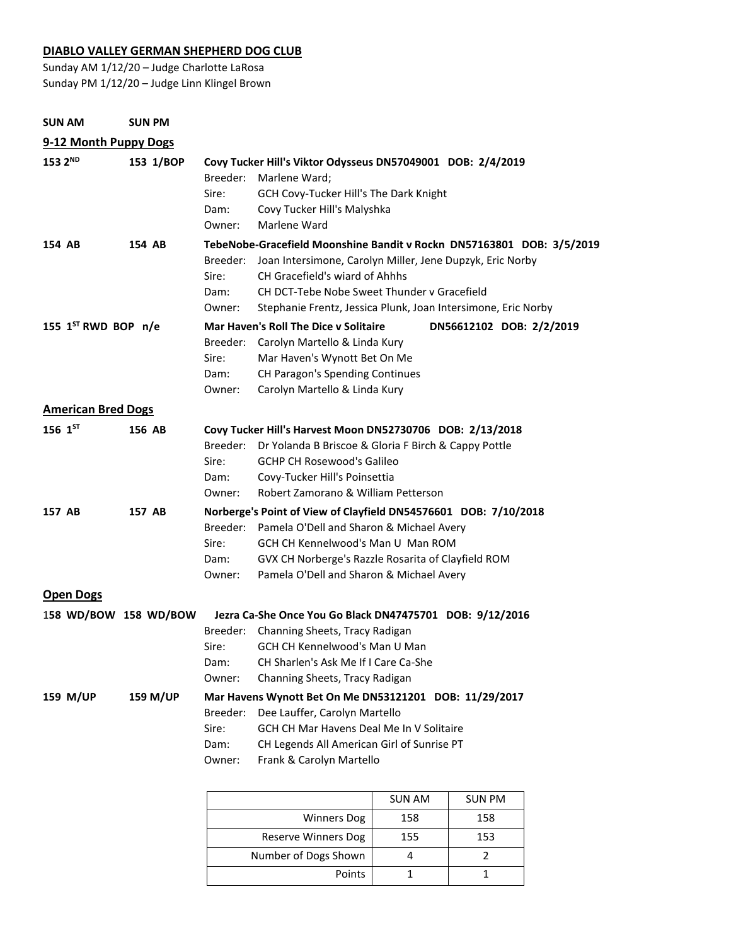### **DIABLO VALLEY GERMAN SHEPHERD DOG CLUB**

Sunday AM 1/12/20 – Judge Charlotte LaRosa Sunday PM 1/12/20 – Judge Linn Klingel Brown

| <b>SUN AM</b>             | <b>SUN PM</b>    |                                                                                                                                    |                                                                                                                                                                                                                                                                                                                                                        |  |
|---------------------------|------------------|------------------------------------------------------------------------------------------------------------------------------------|--------------------------------------------------------------------------------------------------------------------------------------------------------------------------------------------------------------------------------------------------------------------------------------------------------------------------------------------------------|--|
| 9-12 Month Puppy Dogs     |                  |                                                                                                                                    |                                                                                                                                                                                                                                                                                                                                                        |  |
| 153 2 <sup>ND</sup>       | 153 1/BOP        | Breeder:<br>Sire:<br>Dam:<br>Owner:                                                                                                | Covy Tucker Hill's Viktor Odysseus DN57049001 DOB: 2/4/2019<br>Marlene Ward;<br>GCH Covy-Tucker Hill's The Dark Knight<br>Covy Tucker Hill's Malyshka<br>Marlene Ward                                                                                                                                                                                  |  |
| 154 AB                    | 154 AB           | Breeder:<br>Sire:<br>Dam:                                                                                                          | TebeNobe-Gracefield Moonshine Bandit v Rockn DN57163801 DOB: 3/5/2019<br>Joan Intersimone, Carolyn Miller, Jene Dupzyk, Eric Norby<br>CH Gracefield's wiard of Ahhhs<br>CH DCT-Tebe Nobe Sweet Thunder y Gracefield                                                                                                                                    |  |
| 155 1ST RWD BOP n/e       |                  | Owner:<br>Breeder:<br>Sire:<br>Dam:<br>Owner:                                                                                      | Stephanie Frentz, Jessica Plunk, Joan Intersimone, Eric Norby<br><b>Mar Haven's Roll The Dice y Solitaire</b><br>DN56612102 DOB: 2/2/2019<br>Carolyn Martello & Linda Kury<br>Mar Haven's Wynott Bet On Me<br>CH Paragon's Spending Continues<br>Carolyn Martello & Linda Kury                                                                         |  |
| <b>American Bred Dogs</b> |                  |                                                                                                                                    |                                                                                                                                                                                                                                                                                                                                                        |  |
| $156$ $1^{57}$<br>157 AB  | 156 AB<br>157 AB | Breeder:<br>Sire:<br>Dam:<br>Owner:                                                                                                | Covy Tucker Hill's Harvest Moon DN52730706 DOB: 2/13/2018<br>Dr Yolanda B Briscoe & Gloria F Birch & Cappy Pottle<br><b>GCHP CH Rosewood's Galileo</b><br>Covy-Tucker Hill's Poinsettia<br>Robert Zamorano & William Petterson<br>Norberge's Point of View of Clayfield DN54576601 DOB: 7/10/2018<br>Breeder: Pamela O'Dell and Sharon & Michael Avery |  |
|                           |                  | Sire:<br>Dam:<br>Owner:                                                                                                            | GCH CH Kennelwood's Man U Man ROM<br>GVX CH Norberge's Razzle Rosarita of Clayfield ROM<br>Pamela O'Dell and Sharon & Michael Avery                                                                                                                                                                                                                    |  |
| <b>Open Dogs</b>          |                  |                                                                                                                                    |                                                                                                                                                                                                                                                                                                                                                        |  |
| 158 WD/BOW 158 WD/BOW     |                  | Breeder:<br>Sire: The Sire of the Sire of the Sire of the Sire of the Sire of the Sire of the Sire of the Sire o<br>Dam:<br>Owner: | Jezra Ca-She Once You Go Black DN47475701 DOB: 9/12/2016<br>Channing Sheets, Tracy Radigan<br>GCH CH Kennelwood's Man U Man<br>CH Sharlen's Ask Me If I Care Ca-She<br>Channing Sheets, Tracy Radigan                                                                                                                                                  |  |
| 159 M/UP                  | <b>159 M/UP</b>  | Breeder:<br>Sire:<br>Dam:<br>Owner:                                                                                                | Mar Havens Wynott Bet On Me DN53121201 DOB: 11/29/2017<br>Dee Lauffer, Carolyn Martello<br>GCH CH Mar Havens Deal Me In V Solitaire<br>CH Legends All American Girl of Sunrise PT<br>Frank & Carolyn Martello                                                                                                                                          |  |

|                      | <b>SUN AM</b> | <b>SUN PM</b> |
|----------------------|---------------|---------------|
| <b>Winners Dog</b>   | 158           | 158           |
| Reserve Winners Dog  | 155           | 153           |
| Number of Dogs Shown |               |               |
| Points               |               |               |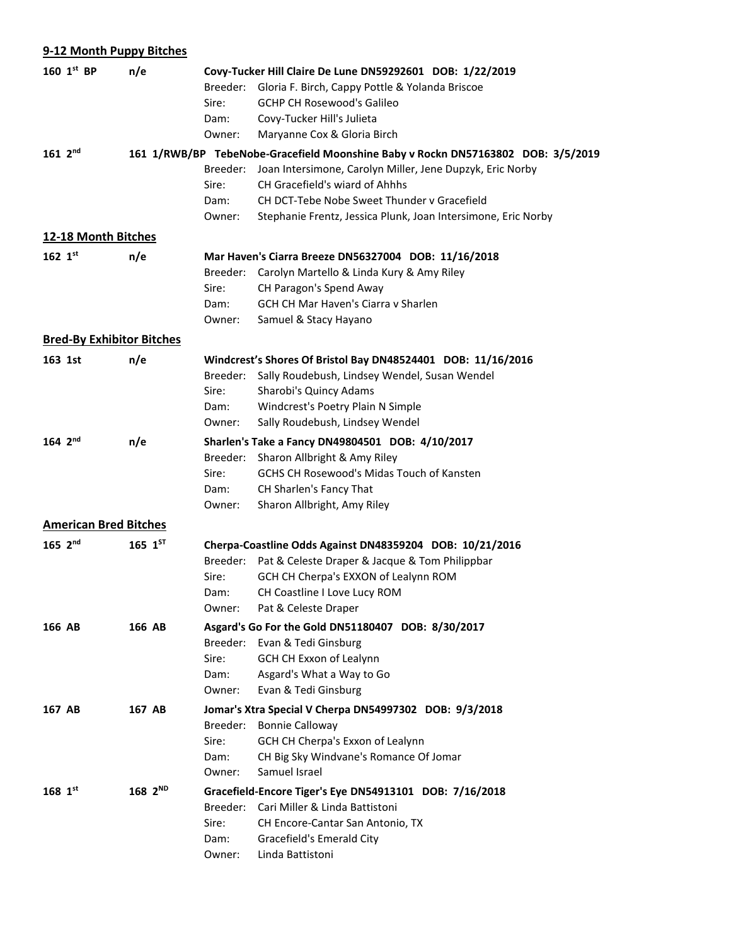| 9-12 Month Puppy Bitches         |                     |                                                           |                                                                                        |  |  |
|----------------------------------|---------------------|-----------------------------------------------------------|----------------------------------------------------------------------------------------|--|--|
| 160 1st BP                       | n/e                 | Covy-Tucker Hill Claire De Lune DN59292601 DOB: 1/22/2019 |                                                                                        |  |  |
|                                  |                     | Breeder:                                                  | Gloria F. Birch, Cappy Pottle & Yolanda Briscoe                                        |  |  |
|                                  |                     | Sire:                                                     | <b>GCHP CH Rosewood's Galileo</b>                                                      |  |  |
|                                  |                     | Dam:                                                      | Covy-Tucker Hill's Julieta                                                             |  |  |
|                                  |                     | Owner:                                                    | Maryanne Cox & Gloria Birch                                                            |  |  |
| $161 \, 2^{nd}$                  |                     |                                                           | 161 1/RWB/BP TebeNobe-Gracefield Moonshine Baby v Rockn DN57163802 DOB: 3/5/2019       |  |  |
|                                  |                     | Breeder:                                                  | Joan Intersimone, Carolyn Miller, Jene Dupzyk, Eric Norby                              |  |  |
|                                  |                     | Sire:                                                     | CH Gracefield's wiard of Ahhhs                                                         |  |  |
|                                  |                     | Dam:                                                      | CH DCT-Tebe Nobe Sweet Thunder y Gracefield                                            |  |  |
|                                  |                     | Owner:                                                    | Stephanie Frentz, Jessica Plunk, Joan Intersimone, Eric Norby                          |  |  |
| 12-18 Month Bitches              |                     |                                                           |                                                                                        |  |  |
| 162 $1^{st}$                     | n/e                 |                                                           | Mar Haven's Ciarra Breeze DN56327004 DOB: 11/16/2018                                   |  |  |
|                                  |                     | Breeder:                                                  | Carolyn Martello & Linda Kury & Amy Riley                                              |  |  |
|                                  |                     | Sire:                                                     | CH Paragon's Spend Away                                                                |  |  |
|                                  |                     | Dam:                                                      | GCH CH Mar Haven's Ciarra v Sharlen                                                    |  |  |
|                                  |                     | Owner:                                                    | Samuel & Stacy Hayano                                                                  |  |  |
| <b>Bred-By Exhibitor Bitches</b> |                     |                                                           |                                                                                        |  |  |
| 163 1st                          | n/e                 |                                                           | Windcrest's Shores Of Bristol Bay DN48524401 DOB: 11/16/2016                           |  |  |
|                                  |                     | Breeder:                                                  | Sally Roudebush, Lindsey Wendel, Susan Wendel                                          |  |  |
|                                  |                     | Sire:                                                     | Sharobi's Quincy Adams                                                                 |  |  |
|                                  |                     | Dam:                                                      | Windcrest's Poetry Plain N Simple                                                      |  |  |
|                                  |                     | Owner:                                                    | Sally Roudebush, Lindsey Wendel                                                        |  |  |
| 164 $2^{nd}$                     | n/e                 |                                                           | Sharlen's Take a Fancy DN49804501 DOB: 4/10/2017                                       |  |  |
|                                  |                     | Breeder:                                                  | Sharon Allbright & Amy Riley                                                           |  |  |
|                                  |                     | Sire:<br>Dam:                                             | <b>GCHS CH Rosewood's Midas Touch of Kansten</b><br>CH Sharlen's Fancy That            |  |  |
|                                  |                     | Owner:                                                    | Sharon Allbright, Amy Riley                                                            |  |  |
| <b>American Bred Bitches</b>     |                     |                                                           |                                                                                        |  |  |
|                                  |                     |                                                           |                                                                                        |  |  |
| $165 \, 2^{nd}$                  | $165$ $1^{57}$      |                                                           | Cherpa-Coastline Odds Against DN48359204 DOB: 10/21/2016                               |  |  |
|                                  |                     | Breeder:<br>Sire:                                         | Pat & Celeste Draper & Jacque & Tom Philippbar<br>GCH CH Cherpa's EXXON of Lealynn ROM |  |  |
|                                  |                     | Dam:                                                      | CH Coastline I Love Lucy ROM                                                           |  |  |
|                                  |                     | Owner:                                                    | Pat & Celeste Draper                                                                   |  |  |
| 166 AB                           | 166 AB              |                                                           | Asgard's Go For the Gold DN51180407 DOB: 8/30/2017                                     |  |  |
|                                  |                     |                                                           | Breeder: Evan & Tedi Ginsburg                                                          |  |  |
|                                  |                     | Sire:                                                     | GCH CH Exxon of Lealynn                                                                |  |  |
|                                  |                     | Dam:                                                      | Asgard's What a Way to Go                                                              |  |  |
|                                  |                     | Owner:                                                    | Evan & Tedi Ginsburg                                                                   |  |  |
| 167 AB                           | 167 AB              |                                                           | Jomar's Xtra Special V Cherpa DN54997302 DOB: 9/3/2018                                 |  |  |
|                                  |                     | Breeder:                                                  | <b>Bonnie Calloway</b>                                                                 |  |  |
|                                  |                     | Sire:                                                     | GCH CH Cherpa's Exxon of Lealynn                                                       |  |  |
|                                  |                     | Dam:                                                      | CH Big Sky Windvane's Romance Of Jomar                                                 |  |  |
|                                  |                     | Owner:                                                    | Samuel Israel                                                                          |  |  |
| $168~1^{st}$                     | 168 2 <sup>ND</sup> |                                                           | Gracefield-Encore Tiger's Eye DN54913101 DOB: 7/16/2018                                |  |  |
|                                  |                     | Breeder:                                                  | Cari Miller & Linda Battistoni                                                         |  |  |
|                                  |                     | Sire:                                                     | CH Encore-Cantar San Antonio, TX                                                       |  |  |
|                                  |                     | Dam:                                                      | Gracefield's Emerald City                                                              |  |  |
|                                  |                     | Owner:                                                    | Linda Battistoni                                                                       |  |  |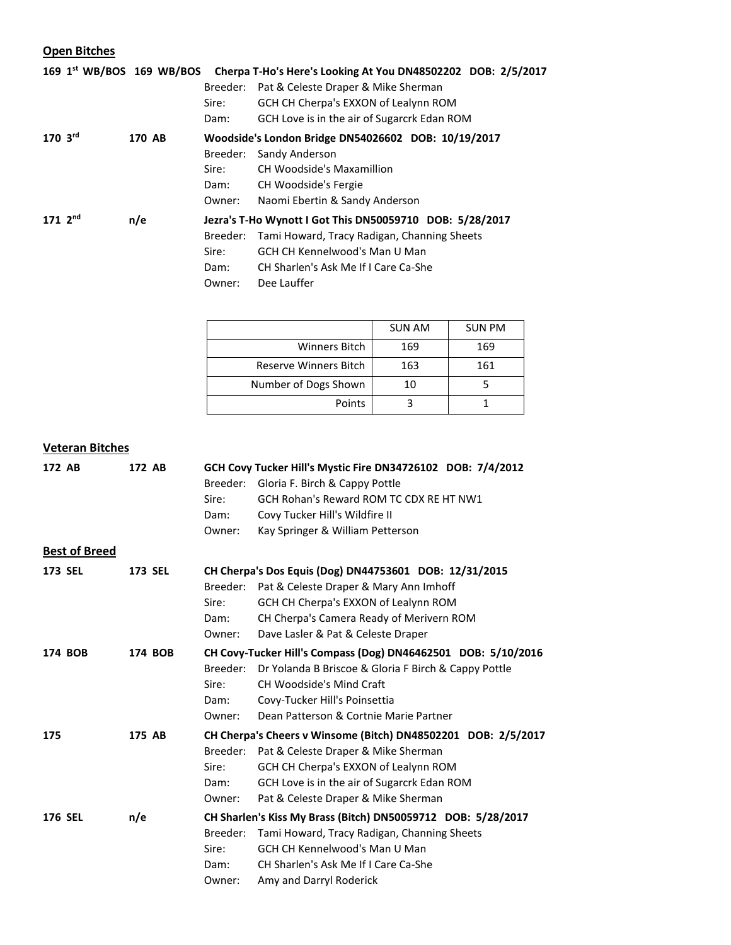# **Open Bitches**

|                 |        |                                                          | 169 1 <sup>st</sup> WB/BOS 169 WB/BOS Cherpa T-Ho's Here's Looking At You DN48502202 DOB: 2/5/2017 |
|-----------------|--------|----------------------------------------------------------|----------------------------------------------------------------------------------------------------|
|                 |        | Breeder:                                                 | Pat & Celeste Draper & Mike Sherman                                                                |
|                 |        | Sire:                                                    | GCH CH Cherpa's EXXON of Lealynn ROM                                                               |
|                 |        | Dam:                                                     | GCH Love is in the air of Sugarcrk Edan ROM                                                        |
| $170 \, 3^{rd}$ | 170 AB |                                                          | Woodside's London Bridge DN54026602 DOB: 10/19/2017                                                |
|                 |        | Breeder:                                                 | Sandy Anderson                                                                                     |
|                 |        | Sire:                                                    | CH Woodside's Maxamillion                                                                          |
|                 |        | Dam:                                                     | CH Woodside's Fergie                                                                               |
|                 |        | Owner:                                                   | Naomi Ebertin & Sandy Anderson                                                                     |
| 171 $2^{nd}$    | n/e    | Jezra's T-Ho Wynott I Got This DN50059710 DOB: 5/28/2017 |                                                                                                    |
|                 |        | Breeder:                                                 | Tami Howard, Tracy Radigan, Channing Sheets                                                        |
|                 |        | Sire:                                                    | <b>GCH CH Kennelwood's Man U Man</b>                                                               |
|                 |        | Dam:                                                     | CH Sharlen's Ask Me If I Care Ca-She                                                               |
|                 |        | Owner:                                                   | Dee Lauffer                                                                                        |

|                       | <b>SUN AM</b> | <b>SUN PM</b> |
|-----------------------|---------------|---------------|
| Winners Bitch         | 169           | 169           |
| Reserve Winners Bitch | 163           | 161           |
| Number of Dogs Shown  | 10            |               |
| Points                |               |               |

## **Veteran Bitches**

| 172 AB               | 172 AB         | GCH Covy Tucker Hill's Mystic Fire DN34726102 DOB: 7/4/2012   |                                                               |
|----------------------|----------------|---------------------------------------------------------------|---------------------------------------------------------------|
|                      |                | Breeder:                                                      | Gloria F. Birch & Cappy Pottle                                |
|                      |                | Sire:                                                         | GCH Rohan's Reward ROM TC CDX RE HT NW1                       |
|                      |                | Dam:                                                          | Covy Tucker Hill's Wildfire II                                |
|                      |                | Owner:                                                        | Kay Springer & William Petterson                              |
| <b>Best of Breed</b> |                |                                                               |                                                               |
| <b>173 SEL</b>       | <b>173 SEL</b> |                                                               | CH Cherpa's Dos Equis (Dog) DN44753601 DOB: 12/31/2015        |
|                      |                | Breeder:                                                      | Pat & Celeste Draper & Mary Ann Imhoff                        |
|                      |                | Sire:                                                         | GCH CH Cherpa's EXXON of Lealynn ROM                          |
|                      |                | Dam:                                                          | CH Cherpa's Camera Ready of Merivern ROM                      |
|                      |                | Owner:                                                        | Dave Lasler & Pat & Celeste Draper                            |
| 174 BOB              | 174 BOB        | CH Covy-Tucker Hill's Compass (Dog) DN46462501 DOB: 5/10/2016 |                                                               |
|                      |                | Breeder:                                                      | Dr Yolanda B Briscoe & Gloria F Birch & Cappy Pottle          |
|                      |                | Sire:                                                         | <b>CH Woodside's Mind Craft</b>                               |
|                      |                | Dam:                                                          | Covy-Tucker Hill's Poinsettia                                 |
|                      |                | Owner:                                                        | Dean Patterson & Cortnie Marie Partner                        |
| 175                  | 175 AB         |                                                               | CH Cherpa's Cheers v Winsome (Bitch) DN48502201 DOB: 2/5/2017 |
|                      |                | Breeder:                                                      | Pat & Celeste Draper & Mike Sherman                           |
|                      |                | Sire:                                                         | GCH CH Cherpa's EXXON of Lealynn ROM                          |
|                      |                | Dam:                                                          | GCH Love is in the air of Sugarcrk Edan ROM                   |
|                      |                | Owner:                                                        | Pat & Celeste Draper & Mike Sherman                           |
| <b>176 SEL</b>       | n/e            |                                                               | CH Sharlen's Kiss My Brass (Bitch) DN50059712 DOB: 5/28/2017  |
|                      |                | Breeder:                                                      | Tami Howard, Tracy Radigan, Channing Sheets                   |
|                      |                | Sire:                                                         | GCH CH Kennelwood's Man U Man                                 |
|                      |                | Dam:                                                          | CH Sharlen's Ask Me If I Care Ca-She                          |
|                      |                | Owner:                                                        | Amy and Darryl Roderick                                       |
|                      |                |                                                               |                                                               |